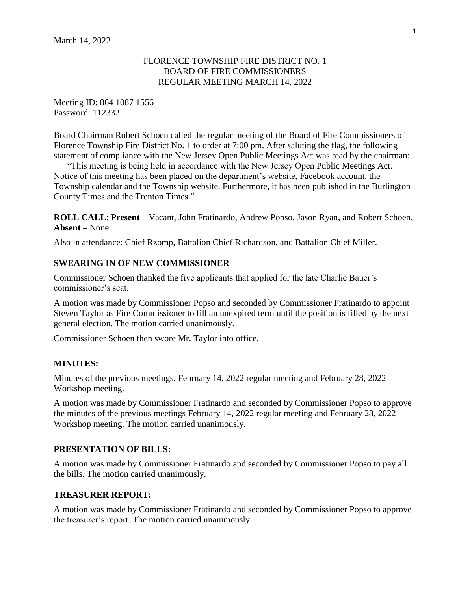### FLORENCE TOWNSHIP FIRE DISTRICT NO. 1 BOARD OF FIRE COMMISSIONERS REGULAR MEETING MARCH 14, 2022

Meeting ID: 864 1087 1556 Password: 112332

Board Chairman Robert Schoen called the regular meeting of the Board of Fire Commissioners of Florence Township Fire District No. 1 to order at 7:00 pm. After saluting the flag, the following statement of compliance with the New Jersey Open Public Meetings Act was read by the chairman:

"This meeting is being held in accordance with the New Jersey Open Public Meetings Act. Notice of this meeting has been placed on the department's website, Facebook account, the Township calendar and the Township website. Furthermore, it has been published in the Burlington County Times and the Trenton Times."

**ROLL CALL**: **Present** – Vacant, John Fratinardo, Andrew Popso, Jason Ryan, and Robert Schoen. **Absent –** None

Also in attendance: Chief Rzomp, Battalion Chief Richardson, and Battalion Chief Miller.

## **SWEARING IN OF NEW COMMISSIONER**

Commissioner Schoen thanked the five applicants that applied for the late Charlie Bauer's commissioner's seat.

A motion was made by Commissioner Popso and seconded by Commissioner Fratinardo to appoint Steven Taylor as Fire Commissioner to fill an unexpired term until the position is filled by the next general election. The motion carried unanimously.

Commissioner Schoen then swore Mr. Taylor into office.

#### **MINUTES:**

Minutes of the previous meetings, February 14, 2022 regular meeting and February 28, 2022 Workshop meeting.

A motion was made by Commissioner Fratinardo and seconded by Commissioner Popso to approve the minutes of the previous meetings February 14, 2022 regular meeting and February 28, 2022 Workshop meeting. The motion carried unanimously.

## **PRESENTATION OF BILLS:**

A motion was made by Commissioner Fratinardo and seconded by Commissioner Popso to pay all the bills. The motion carried unanimously.

## **TREASURER REPORT:**

A motion was made by Commissioner Fratinardo and seconded by Commissioner Popso to approve the treasurer's report. The motion carried unanimously.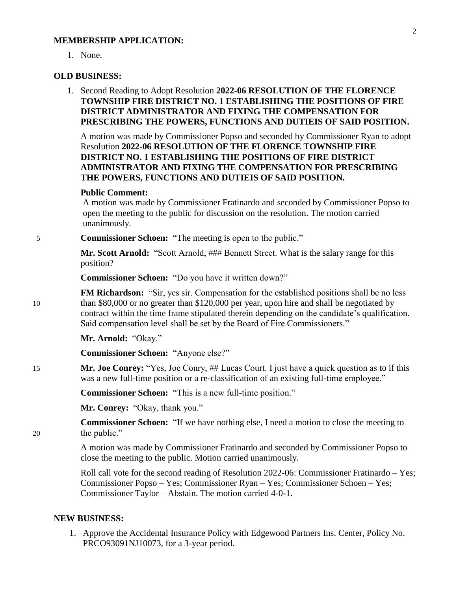#### **MEMBERSHIP APPLICATION:**

1. None.

#### **OLD BUSINESS:**

1. Second Reading to Adopt Resolution **2022-06 RESOLUTION OF THE FLORENCE TOWNSHIP FIRE DISTRICT NO. 1 ESTABLISHING THE POSITIONS OF FIRE DISTRICT ADMINISTRATOR AND FIXING THE COMPENSATION FOR PRESCRIBING THE POWERS, FUNCTIONS AND DUTIEIS OF SAID POSITION.**

A motion was made by Commissioner Popso and seconded by Commissioner Ryan to adopt Resolution **2022-06 RESOLUTION OF THE FLORENCE TOWNSHIP FIRE DISTRICT NO. 1 ESTABLISHING THE POSITIONS OF FIRE DISTRICT ADMINISTRATOR AND FIXING THE COMPENSATION FOR PRESCRIBING THE POWERS, FUNCTIONS AND DUTIEIS OF SAID POSITION.**

#### **Public Comment:**

A motion was made by Commissioner Fratinardo and seconded by Commissioner Popso to open the meeting to the public for discussion on the resolution. The motion carried unanimously.

5 **Commissioner Schoen:** "The meeting is open to the public."

**Mr. Scott Arnold:** "Scott Arnold, ### Bennett Street. What is the salary range for this position?

**Commissioner Schoen:** "Do you have it written down?"

**FM Richardson:** "Sir, yes sir. Compensation for the established positions shall be no less 10 than \$80,000 or no greater than \$120,000 per year, upon hire and shall be negotiated by contract within the time frame stipulated therein depending on the candidate's qualification. Said compensation level shall be set by the Board of Fire Commissioners."

**Mr. Arnold:** "Okay."

**Commissioner Schoen:** "Anyone else?"

15 **Mr. Joe Conrey:** "Yes, Joe Conry, ## Lucas Court. I just have a quick question as to if this was a new full-time position or a re-classification of an existing full-time employee."

**Commissioner Schoen:** "This is a new full-time position."

Mr. Conrey: "Okay, thank you."

**Commissioner Schoen:** "If we have nothing else, I need a motion to close the meeting to 20 the public."

> A motion was made by Commissioner Fratinardo and seconded by Commissioner Popso to close the meeting to the public. Motion carried unanimously.

Roll call vote for the second reading of Resolution 2022-06: Commissioner Fratinardo – Yes; Commissioner Popso – Yes; Commissioner Ryan – Yes; Commissioner Schoen – Yes; Commissioner Taylor – Abstain. The motion carried 4-0-1.

#### **NEW BUSINESS:**

1. Approve the Accidental Insurance Policy with Edgewood Partners Ins. Center, Policy No. PRCO93091NJ10073, for a 3-year period.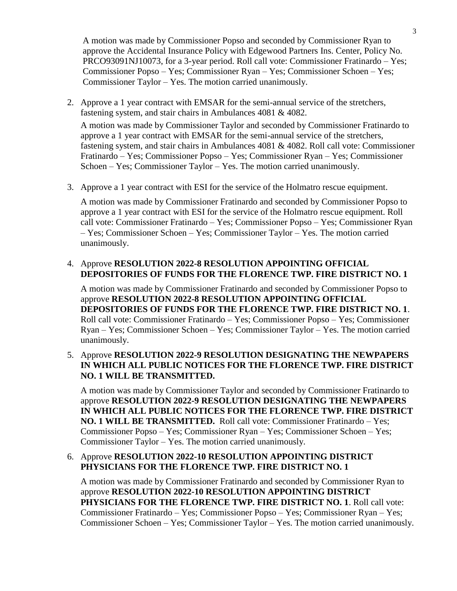A motion was made by Commissioner Popso and seconded by Commissioner Ryan to approve the Accidental Insurance Policy with Edgewood Partners Ins. Center, Policy No. PRCO93091NJ10073, for a 3-year period. Roll call vote: Commissioner Fratinardo – Yes; Commissioner Popso – Yes; Commissioner Ryan – Yes; Commissioner Schoen – Yes; Commissioner Taylor – Yes. The motion carried unanimously.

- 2. Approve a 1 year contract with EMSAR for the semi-annual service of the stretchers, fastening system, and stair chairs in Ambulances 4081 & 4082. A motion was made by Commissioner Taylor and seconded by Commissioner Fratinardo to approve a 1 year contract with EMSAR for the semi-annual service of the stretchers, fastening system, and stair chairs in Ambulances 4081 & 4082. Roll call vote: Commissioner Fratinardo – Yes; Commissioner Popso – Yes; Commissioner Ryan – Yes; Commissioner Schoen – Yes; Commissioner Taylor – Yes. The motion carried unanimously.
- 3. Approve a 1 year contract with ESI for the service of the Holmatro rescue equipment.

A motion was made by Commissioner Fratinardo and seconded by Commissioner Popso to approve a 1 year contract with ESI for the service of the Holmatro rescue equipment. Roll call vote: Commissioner Fratinardo – Yes; Commissioner Popso – Yes; Commissioner Ryan – Yes; Commissioner Schoen – Yes; Commissioner Taylor – Yes. The motion carried unanimously.

## 4. Approve **RESOLUTION 2022-8 RESOLUTION APPOINTING OFFICIAL DEPOSITORIES OF FUNDS FOR THE FLORENCE TWP. FIRE DISTRICT NO. 1**

A motion was made by Commissioner Fratinardo and seconded by Commissioner Popso to approve **RESOLUTION 2022-8 RESOLUTION APPOINTING OFFICIAL DEPOSITORIES OF FUNDS FOR THE FLORENCE TWP. FIRE DISTRICT NO. 1**. Roll call vote: Commissioner Fratinardo – Yes; Commissioner Popso – Yes; Commissioner Ryan – Yes; Commissioner Schoen – Yes; Commissioner Taylor – Yes. The motion carried unanimously.

# 5. Approve **RESOLUTION 2022-9 RESOLUTION DESIGNATING THE NEWPAPERS IN WHICH ALL PUBLIC NOTICES FOR THE FLORENCE TWP. FIRE DISTRICT NO. 1 WILL BE TRANSMITTED.**

A motion was made by Commissioner Taylor and seconded by Commissioner Fratinardo to approve **RESOLUTION 2022-9 RESOLUTION DESIGNATING THE NEWPAPERS IN WHICH ALL PUBLIC NOTICES FOR THE FLORENCE TWP. FIRE DISTRICT NO. 1 WILL BE TRANSMITTED.** Roll call vote: Commissioner Fratinardo – Yes; Commissioner Popso – Yes; Commissioner Ryan – Yes; Commissioner Schoen – Yes; Commissioner Taylor – Yes. The motion carried unanimously.

# 6. Approve **RESOLUTION 2022-10 RESOLUTION APPOINTING DISTRICT PHYSICIANS FOR THE FLORENCE TWP. FIRE DISTRICT NO. 1**

A motion was made by Commissioner Fratinardo and seconded by Commissioner Ryan to approve **RESOLUTION 2022-10 RESOLUTION APPOINTING DISTRICT PHYSICIANS FOR THE FLORENCE TWP. FIRE DISTRICT NO. 1**. Roll call vote: Commissioner Fratinardo – Yes; Commissioner Popso – Yes; Commissioner Ryan – Yes; Commissioner Schoen – Yes; Commissioner Taylor – Yes. The motion carried unanimously.